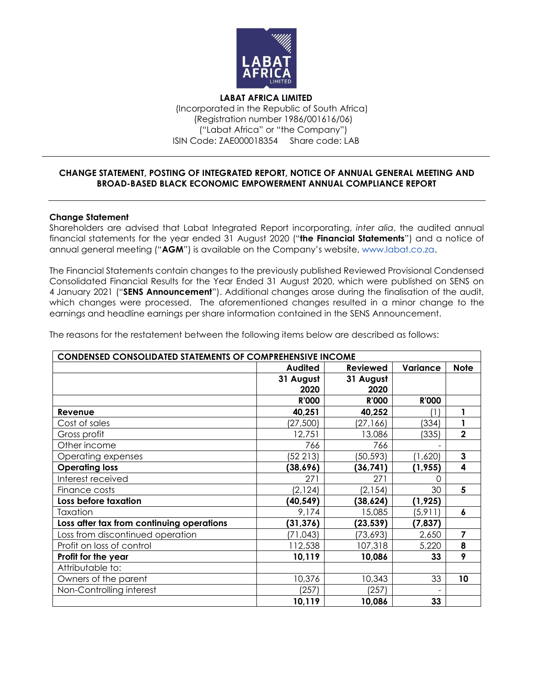

**LABAT AFRICA LIMITED** (Incorporated in the Republic of South Africa) (Registration number 1986/001616/06) ("Labat Africa" or "the Company") ISIN Code: ZAE000018354 Share code: LAB

## **CHANGE STATEMENT, POSTING OF INTEGRATED REPORT, NOTICE OF ANNUAL GENERAL MEETING AND BROAD-BASED BLACK ECONOMIC EMPOWERMENT ANNUAL COMPLIANCE REPORT**

#### **Change Statement**

Shareholders are advised that Labat Integrated Report incorporating, *inter alia*, the audited annual financial statements for the year ended 31 August 2020 ("**the Financial Statements**") and a notice of annual general meeting ("**AGM**") is available on the Company's website, www.labat.co.za.

The Financial Statements contain changes to the previously published Reviewed Provisional Condensed Consolidated Financial Results for the Year Ended 31 August 2020, which were published on SENS on 4 January 2021 ("**SENS Announcement**"). Additional changes arose during the finalisation of the audit, which changes were processed. The aforementioned changes resulted in a minor change to the earnings and headline earnings per share information contained in the SENS Announcement.

The reasons for the restatement between the following items below are described as follows:

| <b>CONDENSED CONSOLIDATED STATEMENTS OF COMPREHENSIVE INCOME</b> |                |                 |              |                         |  |
|------------------------------------------------------------------|----------------|-----------------|--------------|-------------------------|--|
|                                                                  | <b>Audited</b> | <b>Reviewed</b> | Variance     | <b>Note</b>             |  |
|                                                                  | 31 August      | 31 August       |              |                         |  |
|                                                                  | 2020           | 2020            |              |                         |  |
|                                                                  | <b>R'000</b>   | <b>R'000</b>    | <b>R'000</b> |                         |  |
| Revenue                                                          | 40,251         | 40,252          | (1)          | 1                       |  |
| Cost of sales                                                    | (27, 500)      | (27, 166)       | (334)        |                         |  |
| Gross profit                                                     | 12,751         | 13,086          | (335)        | $\overline{2}$          |  |
| Other income                                                     | 766            | 766             |              |                         |  |
| Operating expenses                                               | (52 213)       | (50, 593)       | (1,620)      | 3                       |  |
| <b>Operating loss</b>                                            | (38, 696)      | (36, 741)       | (1, 955)     | $\overline{\mathbf{4}}$ |  |
| Interest received                                                | 271            | 271             | Ω            |                         |  |
| Finance costs                                                    | (2, 124)       | (2, 154)        | 30           | 5                       |  |
| Loss before taxation                                             | (40, 549)      | (38, 624)       | (1, 925)     |                         |  |
| Taxation                                                         | 9,174          | 15,085          | (5, 911)     | 6                       |  |
| Loss after tax from continuing operations                        | (31, 376)      | (23, 539)       | (7, 837)     |                         |  |
| Loss from discontinued operation                                 | (71, 043)      | (73, 693)       | 2,650        | 7                       |  |
| Profit on loss of control                                        | 112,538        | 107,318         | 5,220        | 8                       |  |
| Profit for the year                                              | 10,119         | 10,086          | 33           | 9                       |  |
| Attributable to:                                                 |                |                 |              |                         |  |
| Owners of the parent                                             | 10,376         | 10,343          | 33           | 10                      |  |
| Non-Controlling interest                                         | (257)          | (257)           |              |                         |  |
|                                                                  | 10,119         | 10,086          | 33           |                         |  |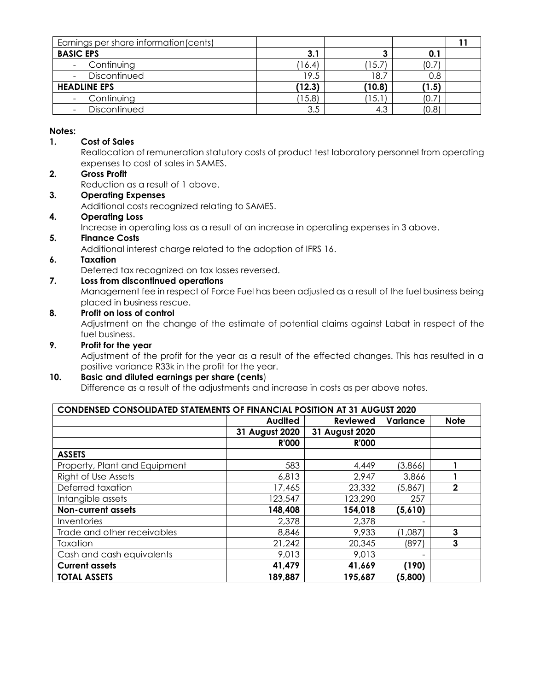| Earnings per share information (cents) |        |                  |       |  |
|----------------------------------------|--------|------------------|-------|--|
| <b>BASIC EPS</b>                       | 3.1    | 3                | 0.1   |  |
| Continuing                             | (16.4) | 15.7             | (0.7) |  |
| Discontinued                           | 19.5   | 18.7             | 0.8   |  |
| <b>HEADLINE EPS</b>                    | (12.3) | (10.8)           | (1.5) |  |
| Continuing                             | (15.8) | $^{\prime}$ 15.1 | (0.7) |  |
| Discontinued                           | 3.5    | 4.3              | (0.8) |  |

## **Notes:**

# **1. Cost of Sales**

Reallocation of remuneration statutory costs of product test laboratory personnel from operating expenses to cost of sales in SAMES.

# **2. Gross Profit**

Reduction as a result of 1 above.

### **3. Operating Expenses**

Additional costs recognized relating to SAMES.

### **4. Operating Loss**

Increase in operating loss as a result of an increase in operating expenses in 3 above.

## **5. Finance Costs**

Additional interest charge related to the adoption of IFRS 16.

## **6. Taxation**

Deferred tax recognized on tax losses reversed.

# **7. Loss from discontinued operations**

Management fee in respect of Force Fuel has been adjusted as a result of the fuel business being placed in business rescue.

## **8. Profit on loss of control**

Adjustment on the change of the estimate of potential claims against Labat in respect of the fuel business.

### **9. Profit for the year**

Adjustment of the profit for the year as a result of the effected changes. This has resulted in a positive variance R33k in the profit for the year.

# **10. Basic and diluted earnings per share (cents**)

Difference as a result of the adjustments and increase in costs as per above notes.

| <b>CONDENSED CONSOLIDATED STATEMENTS OF FINANCIAL POSITION AT 31 AUGUST 2020</b> |                |                 |          |             |
|----------------------------------------------------------------------------------|----------------|-----------------|----------|-------------|
|                                                                                  | <b>Audited</b> | <b>Reviewed</b> | Variance | <b>Note</b> |
|                                                                                  | 31 August 2020 | 31 August 2020  |          |             |
|                                                                                  | <b>R'000</b>   | <b>R'000</b>    |          |             |
| <b>ASSETS</b>                                                                    |                |                 |          |             |
| Property, Plant and Equipment                                                    | 583            | 4,449           | (3,866)  |             |
| Right of Use Assets                                                              | 6,813          | 2,947           | 3,866    |             |
| Deferred taxation                                                                | 17,465         | 23,332          | (5,867)  | $\mathbf 2$ |
| Intangible assets                                                                | 123,547        | 123,290         | 257      |             |
| <b>Non-current assets</b>                                                        | 148,408        | 154,018         | (5,610)  |             |
| Inventories                                                                      | 2,378          | 2,378           |          |             |
| Trade and other receivables                                                      | 8,846          | 9,933           | (1,087)  | 3           |
| Taxation                                                                         | 21,242         | 20,345          | (897)    | 3           |
| Cash and cash equivalents                                                        | 9,013          | 9,013           |          |             |
| <b>Current assets</b>                                                            | 41,479         | 41,669          | (190)    |             |
| <b>TOTAL ASSETS</b>                                                              | 189,887        | 195,687         | (5,800)  |             |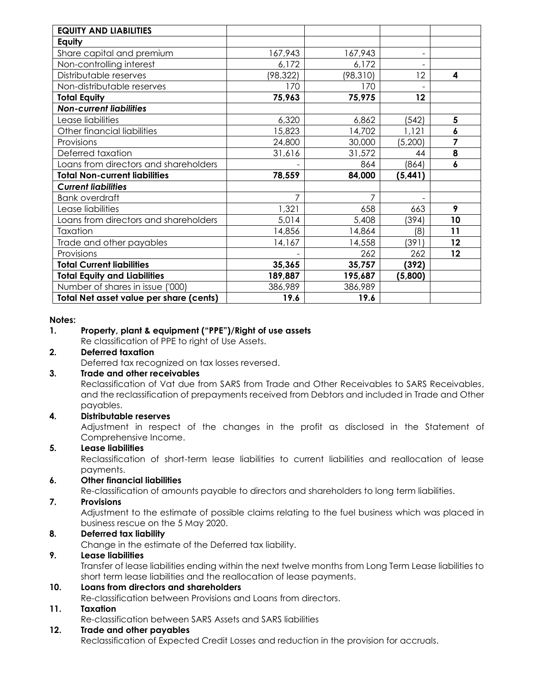| <b>EQUITY AND LIABILITIES</b>           |           |           |                          |                  |
|-----------------------------------------|-----------|-----------|--------------------------|------------------|
| Equity                                  |           |           |                          |                  |
| Share capital and premium               | 167,943   | 167,943   | $\overline{\phantom{a}}$ |                  |
| Non-controlling interest                | 6,172     | 6,172     |                          |                  |
| Distributable reserves                  | (98, 322) | (98, 310) | 12                       | 4                |
| Non-distributable reserves              | 170       | 170       |                          |                  |
| <b>Total Equity</b>                     | 75,963    | 75,975    | 12                       |                  |
| <b>Non-current liabilities</b>          |           |           |                          |                  |
| Lease liabilities                       | 6,320     | 6,862     | (542)                    | 5                |
| Other financial liabilities             | 15,823    | 14,702    | 1,121                    | 6                |
| Provisions                              | 24,800    | 30,000    | (5,200)                  | 7                |
| Deferred taxation                       | 31,616    | 31,572    | 44                       | 8                |
| Loans from directors and shareholders   |           | 864       | (864)                    | $\boldsymbol{6}$ |
| <b>Total Non-current liabilities</b>    | 78,559    | 84,000    | (5, 441)                 |                  |
| <b>Current liabilities</b>              |           |           |                          |                  |
| <b>Bank overdraft</b>                   | 7         | 7         |                          |                  |
| Lease liabilities                       | 1,321     | 658       | 663                      | 9                |
| Loans from directors and shareholders   | 5,014     | 5,408     | (394)                    | 10               |
| Taxation                                | 14,856    | 14,864    | (8)                      | 11               |
| Trade and other payables                | 14,167    | 14,558    | (391)                    | 12               |
| Provisions                              |           | 262       | 262                      | 12               |
| <b>Total Current liabilities</b>        | 35,365    | 35,757    | (392)                    |                  |
| <b>Total Equity and Liabilities</b>     | 189,887   | 195,687   | (5,800)                  |                  |
| Number of shares in issue ('000)        | 386,989   | 386,989   |                          |                  |
| Total Net asset value per share (cents) | 19.6      | 19.6      |                          |                  |

#### **Notes:**

### **1. Property, plant & equipment ("PPE")/Right of use assets**

Re classification of PPE to right of Use Assets.

### **2. Deferred taxation**

Deferred tax recognized on tax losses reversed.

## **3. Trade and other receivables**

Reclassification of Vat due from SARS from Trade and Other Receivables to SARS Receivables, and the reclassification of prepayments received from Debtors and included in Trade and Other payables.

### **4. Distributable reserves**

Adjustment in respect of the changes in the profit as disclosed in the Statement of Comprehensive Income.

### **5. Lease liabilities**

Reclassification of short-term lease liabilities to current liabilities and reallocation of lease payments.

### **6. Other financial liabilities**

Re-classification of amounts payable to directors and shareholders to long term liabilities.

#### **7. Provisions**

Adjustment to the estimate of possible claims relating to the fuel business which was placed in business rescue on the 5 May 2020.

### **8. Deferred tax liability**

Change in the estimate of the Deferred tax liability.

### **9. Lease liabilities**

Transfer of lease liabilities ending within the next twelve months from Long Term Lease liabilities to short term lease liabilities and the reallocation of lease payments.

### **10. Loans from directors and shareholders**

Re-classification between Provisions and Loans from directors.

# **11. Taxation**

Re-classification between SARS Assets and SARS liabilities

### **12. Trade and other payables**

Reclassification of Expected Credit Losses and reduction in the provision for accruals.